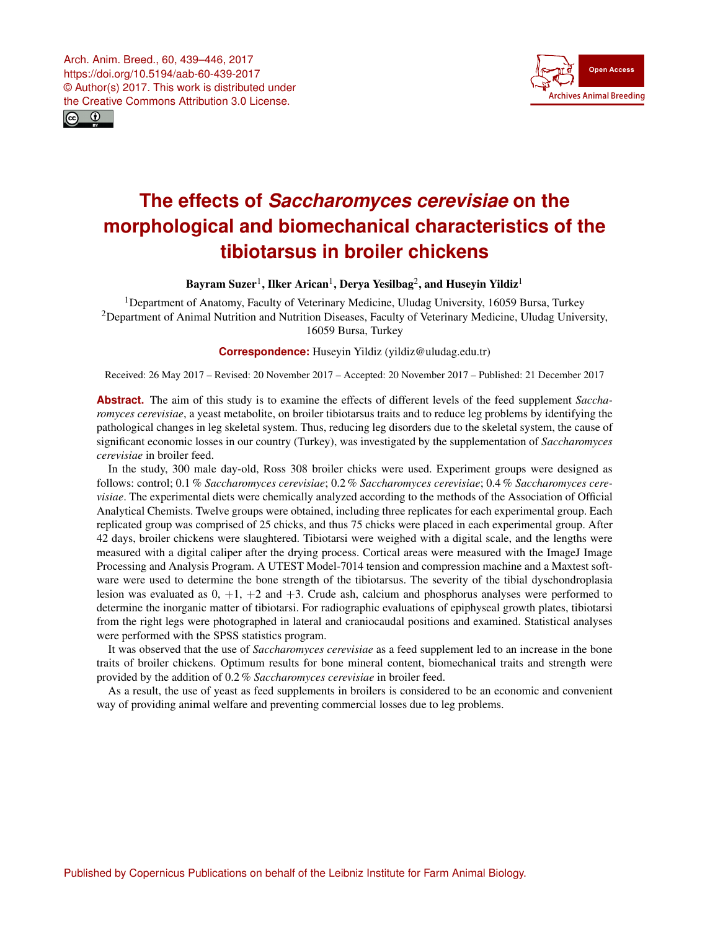<span id="page-0-1"></span>Arch. Anim. Breed., 60, 439–446, 2017 https://doi.org/10.5194/aab-60-439-2017 © Author(s) 2017. This work is distributed under the Creative Commons Attribution 3.0 License.





# **The effects of** *Saccharomyces cerevisiae* **on the morphological and biomechanical characteristics of the tibiotarsus in broiler chickens**

Bayram Suzer $^1$  $^1$ , Ilker Arican $^1$ , Derya Yesilbag $^2$  $^2$ , and Huseyin Yildiz $^1$ 

<sup>1</sup>Department of Anatomy, Faculty of Veterinary Medicine, Uludag University, 16059 Bursa, Turkey <sup>2</sup>Department of Animal Nutrition and Nutrition Diseases, Faculty of Veterinary Medicine, Uludag University, 16059 Bursa, Turkey

**Correspondence:** Huseyin Yildiz (yildiz@uludag.edu.tr)

Received: 26 May 2017 – Revised: 20 November 2017 – Accepted: 20 November 2017 – Published: 21 December 2017

**Abstract.** The aim of this study is to examine the effects of different levels of the feed supplement *Saccharomyces cerevisiae*, a yeast metabolite, on broiler tibiotarsus traits and to reduce leg problems by identifying the pathological changes in leg skeletal system. Thus, reducing leg disorders due to the skeletal system, the cause of significant economic losses in our country (Turkey), was investigated by the supplementation of *Saccharomyces cerevisiae* in broiler feed.

In the study, 300 male day-old, Ross 308 broiler chicks were used. Experiment groups were designed as follows: control; 0.1 % *Saccharomyces cerevisiae*; 0.2 % *Saccharomyces cerevisiae*; 0.4 % *Saccharomyces cerevisiae*. The experimental diets were chemically analyzed according to the methods of the Association of Official Analytical Chemists. Twelve groups were obtained, including three replicates for each experimental group. Each replicated group was comprised of 25 chicks, and thus 75 chicks were placed in each experimental group. After 42 days, broiler chickens were slaughtered. Tibiotarsi were weighed with a digital scale, and the lengths were measured with a digital caliper after the drying process. Cortical areas were measured with the ImageJ Image Processing and Analysis Program. A UTEST Model-7014 tension and compression machine and a Maxtest software were used to determine the bone strength of the tibiotarsus. The severity of the tibial dyschondroplasia lesion was evaluated as  $0, +1, +2$  and  $+3$ . Crude ash, calcium and phosphorus analyses were performed to determine the inorganic matter of tibiotarsi. For radiographic evaluations of epiphyseal growth plates, tibiotarsi from the right legs were photographed in lateral and craniocaudal positions and examined. Statistical analyses were performed with the SPSS statistics program.

It was observed that the use of *Saccharomyces cerevisiae* as a feed supplement led to an increase in the bone traits of broiler chickens. Optimum results for bone mineral content, biomechanical traits and strength were provided by the addition of 0.2 % *Saccharomyces cerevisiae* in broiler feed.

<span id="page-0-0"></span>As a result, the use of yeast as feed supplements in broilers is considered to be an economic and convenient way of providing animal welfare and preventing commercial losses due to leg problems.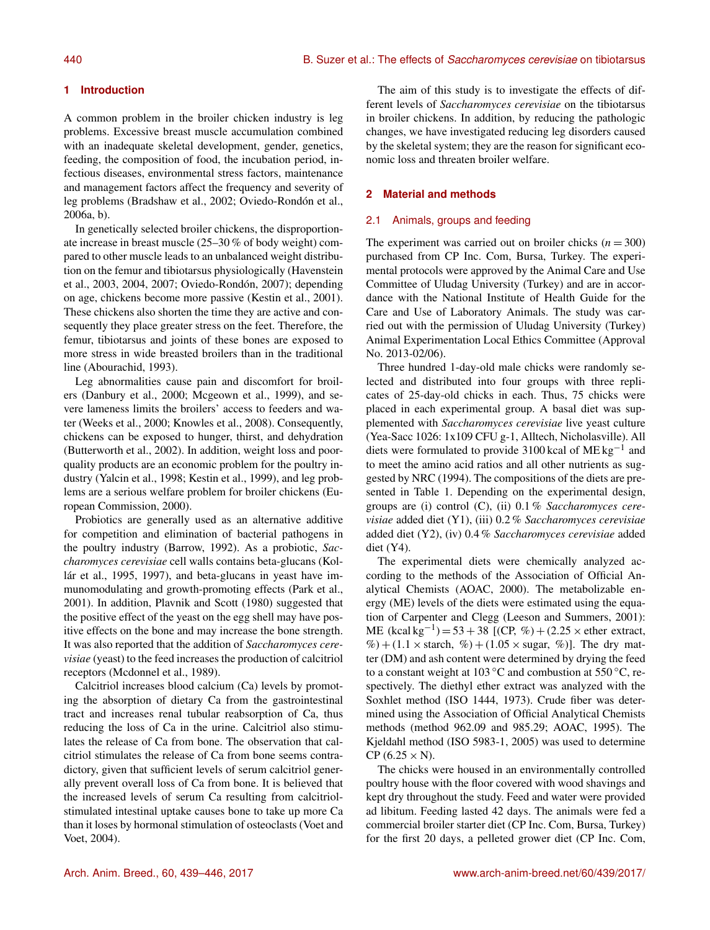# **1 Introduction**

A common problem in the broiler chicken industry is leg problems. Excessive breast muscle accumulation combined with an inadequate skeletal development, gender, genetics, feeding, the composition of food, the incubation period, infectious diseases, environmental stress factors, maintenance and management factors affect the frequency and severity of leg problems (Bradshaw et al., 2002; Oviedo-Rondón et al., 2006a, b).

In genetically selected broiler chickens, the disproportionate increase in breast muscle (25–30 % of body weight) compared to other muscle leads to an unbalanced weight distribution on the femur and tibiotarsus physiologically (Havenstein et al., 2003, 2004, 2007; Oviedo-Rondón, 2007); depending on age, chickens become more passive (Kestin et al., 2001). These chickens also shorten the time they are active and consequently they place greater stress on the feet. Therefore, the femur, tibiotarsus and joints of these bones are exposed to more stress in wide breasted broilers than in the traditional line (Abourachid, 1993).

Leg abnormalities cause pain and discomfort for broilers (Danbury et al., 2000; Mcgeown et al., 1999), and severe lameness limits the broilers' access to feeders and water (Weeks et al., 2000; Knowles et al., 2008). Consequently, chickens can be exposed to hunger, thirst, and dehydration (Butterworth et al., 2002). In addition, weight loss and poorquality products are an economic problem for the poultry industry (Yalcin et al., 1998; Kestin et al., 1999), and leg problems are a serious welfare problem for broiler chickens (European Commission, 2000).

Probiotics are generally used as an alternative additive for competition and elimination of bacterial pathogens in the poultry industry (Barrow, 1992). As a probiotic, *Saccharomyces cerevisiae* cell walls contains beta-glucans (Kollár et al., 1995, 1997), and beta-glucans in yeast have immunomodulating and growth-promoting effects (Park et al., 2001). In addition, Plavnik and Scott (1980) suggested that the positive effect of the yeast on the egg shell may have positive effects on the bone and may increase the bone strength. It was also reported that the addition of *Saccharomyces cerevisiae* (yeast) to the feed increases the production of calcitriol receptors (Mcdonnel et al., 1989).

Calcitriol increases blood calcium (Ca) levels by promoting the absorption of dietary Ca from the gastrointestinal tract and increases renal tubular reabsorption of Ca, thus reducing the loss of Ca in the urine. Calcitriol also stimulates the release of Ca from bone. The observation that calcitriol stimulates the release of Ca from bone seems contradictory, given that sufficient levels of serum calcitriol generally prevent overall loss of Ca from bone. It is believed that the increased levels of serum Ca resulting from calcitriolstimulated intestinal uptake causes bone to take up more Ca than it loses by hormonal stimulation of osteoclasts (Voet and Voet, 2004).

The aim of this study is to investigate the effects of different levels of *Saccharomyces cerevisiae* on the tibiotarsus in broiler chickens. In addition, by reducing the pathologic changes, we have investigated reducing leg disorders caused by the skeletal system; they are the reason for significant economic loss and threaten broiler welfare.

# **2 Material and methods**

# 2.1 Animals, groups and feeding

The experiment was carried out on broiler chicks  $(n = 300)$ purchased from CP Inc. Com, Bursa, Turkey. The experimental protocols were approved by the Animal Care and Use Committee of Uludag University (Turkey) and are in accordance with the National Institute of Health Guide for the Care and Use of Laboratory Animals. The study was carried out with the permission of Uludag University (Turkey) Animal Experimentation Local Ethics Committee (Approval No. 2013-02/06).

Three hundred 1-day-old male chicks were randomly selected and distributed into four groups with three replicates of 25-day-old chicks in each. Thus, 75 chicks were placed in each experimental group. A basal diet was supplemented with *Saccharomyces cerevisiae* live yeast culture (Yea-Sacc 1026: 1x109 CFU g-1, Alltech, Nicholasville). All diets were formulated to provide 3100 kcal of  $ME \, kg^{-1}$  and to meet the amino acid ratios and all other nutrients as suggested by NRC (1994). The compositions of the diets are presented in Table 1. Depending on the experimental design, groups are (i) control (C), (ii) 0.1 % *Saccharomyces cerevisiae* added diet (Y1), (iii) 0.2 % *Saccharomyces cerevisiae* added diet (Y2), (iv) 0.4 % *Saccharomyces cerevisiae* added diet (Y4).

The experimental diets were chemically analyzed according to the methods of the Association of Official Analytical Chemists (AOAC, 2000). The metabolizable energy (ME) levels of the diets were estimated using the equation of Carpenter and Clegg (Leeson and Summers, 2001): ME  $(kcal kg^{-1}) = 53 + 38$  [(CP, %) + (2.25 × ether extract,  $\%$  + (1.1 × starch,  $\%$ ) + (1.05 × sugar,  $\%$ )]. The dry matter (DM) and ash content were determined by drying the feed to a constant weight at 103 °C and combustion at 550 °C, respectively. The diethyl ether extract was analyzed with the Soxhlet method (ISO 1444, 1973). Crude fiber was determined using the Association of Official Analytical Chemists methods (method 962.09 and 985.29; AOAC, 1995). The Kjeldahl method (ISO 5983-1, 2005) was used to determine  $CP$  (6.25  $\times$  N).

The chicks were housed in an environmentally controlled poultry house with the floor covered with wood shavings and kept dry throughout the study. Feed and water were provided ad libitum. Feeding lasted 42 days. The animals were fed a commercial broiler starter diet (CP Inc. Com, Bursa, Turkey) for the first 20 days, a pelleted grower diet (CP Inc. Com,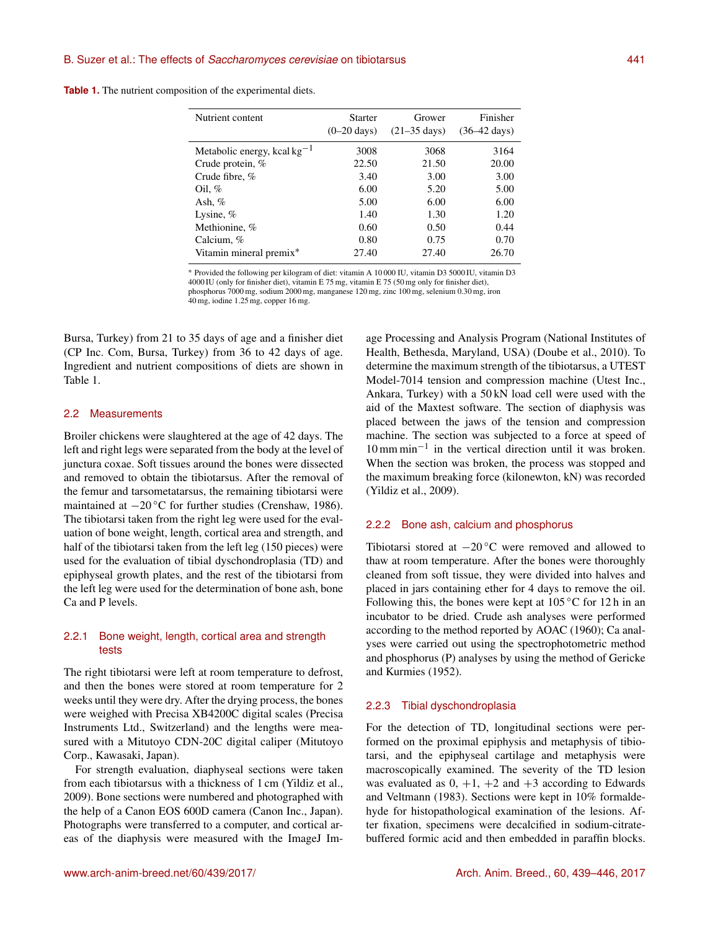| <b>Table 1.</b> The nutrient composition of the experimental diets. |  |
|---------------------------------------------------------------------|--|
|---------------------------------------------------------------------|--|

| Nutrient content                 | <b>Starter</b>        | Grower                 | Finisher               |
|----------------------------------|-----------------------|------------------------|------------------------|
|                                  | $(0-20 \text{ days})$ | $(21-35 \text{ days})$ | $(36-42 \text{ days})$ |
| Metabolic energy, kcal $kg^{-1}$ | 3008                  | 3068                   | 3164                   |
| Crude protein, %                 | 22.50                 | 21.50                  | 20.00                  |
| Crude fibre, %                   | 3.40                  | 3.00                   | 3.00                   |
| Oil, $%$                         | 6.00                  | 5.20                   | 5.00                   |
| Ash, $%$                         | 5.00                  | 6.00                   | 6.00                   |
| Lysine, $%$                      | 1.40                  | 1.30                   | 1.20                   |
| Methionine, %                    | 0.60                  | 0.50                   | 0.44                   |
| Calcium, $%$                     | 0.80                  | 0.75                   | 0.70                   |
| Vitamin mineral premix*          | 27.40                 | 27.40                  | 26.70                  |
|                                  |                       |                        |                        |

<sup>∗</sup> Provided the following per kilogram of diet: vitamin A 10 000 IU, vitamin D3 5000 IU, vitamin D3 4000 IU (only for finisher diet), vitamin E 75 mg, vitamin E 75 (50 mg only for finisher diet), phosphorus 7000 mg, sodium 2000 mg, manganese 120 mg, zinc 100 mg, selenium 0.30 mg, iron

40 mg, iodine 1.25 mg, copper 16 mg.

Bursa, Turkey) from 21 to 35 days of age and a finisher diet (CP Inc. Com, Bursa, Turkey) from 36 to 42 days of age. Ingredient and nutrient compositions of diets are shown in Table 1.

## 2.2 Measurements

Broiler chickens were slaughtered at the age of 42 days. The left and right legs were separated from the body at the level of junctura coxae. Soft tissues around the bones were dissected and removed to obtain the tibiotarsus. After the removal of the femur and tarsometatarsus, the remaining tibiotarsi were maintained at −20 ◦C for further studies (Crenshaw, 1986). The tibiotarsi taken from the right leg were used for the evaluation of bone weight, length, cortical area and strength, and half of the tibiotarsi taken from the left leg (150 pieces) were used for the evaluation of tibial dyschondroplasia (TD) and epiphyseal growth plates, and the rest of the tibiotarsi from the left leg were used for the determination of bone ash, bone Ca and P levels.

# 2.2.1 Bone weight, length, cortical area and strength tests

The right tibiotarsi were left at room temperature to defrost, and then the bones were stored at room temperature for 2 weeks until they were dry. After the drying process, the bones were weighed with Precisa XB4200C digital scales (Precisa Instruments Ltd., Switzerland) and the lengths were measured with a Mitutoyo CDN-20C digital caliper (Mitutoyo Corp., Kawasaki, Japan).

For strength evaluation, diaphyseal sections were taken from each tibiotarsus with a thickness of 1 cm (Yildiz et al., 2009). Bone sections were numbered and photographed with the help of a Canon EOS 600D camera (Canon Inc., Japan). Photographs were transferred to a computer, and cortical areas of the diaphysis were measured with the ImageJ Im-

age Processing and Analysis Program (National Institutes of Health, Bethesda, Maryland, USA) (Doube et al., 2010). To determine the maximum strength of the tibiotarsus, a UTEST Model-7014 tension and compression machine (Utest Inc., Ankara, Turkey) with a 50 kN load cell were used with the aid of the Maxtest software. The section of diaphysis was placed between the jaws of the tension and compression machine. The section was subjected to a force at speed of 10 mm min−<sup>1</sup> in the vertical direction until it was broken. When the section was broken, the process was stopped and the maximum breaking force (kilonewton, kN) was recorded (Yildiz et al., 2009).

#### 2.2.2 Bone ash, calcium and phosphorus

Tibiotarsi stored at  $-20$  °C were removed and allowed to thaw at room temperature. After the bones were thoroughly cleaned from soft tissue, they were divided into halves and placed in jars containing ether for 4 days to remove the oil. Following this, the bones were kept at  $105\,^{\circ}\text{C}$  for  $12\text{ h}$  in an incubator to be dried. Crude ash analyses were performed according to the method reported by AOAC (1960); Ca analyses were carried out using the spectrophotometric method and phosphorus (P) analyses by using the method of Gericke and Kurmies (1952).

# 2.2.3 Tibial dyschondroplasia

For the detection of TD, longitudinal sections were performed on the proximal epiphysis and metaphysis of tibiotarsi, and the epiphyseal cartilage and metaphysis were macroscopically examined. The severity of the TD lesion was evaluated as  $0, +1, +2$  and  $+3$  according to Edwards and Veltmann (1983). Sections were kept in 10% formaldehyde for histopathological examination of the lesions. After fixation, specimens were decalcified in sodium-citratebuffered formic acid and then embedded in paraffin blocks.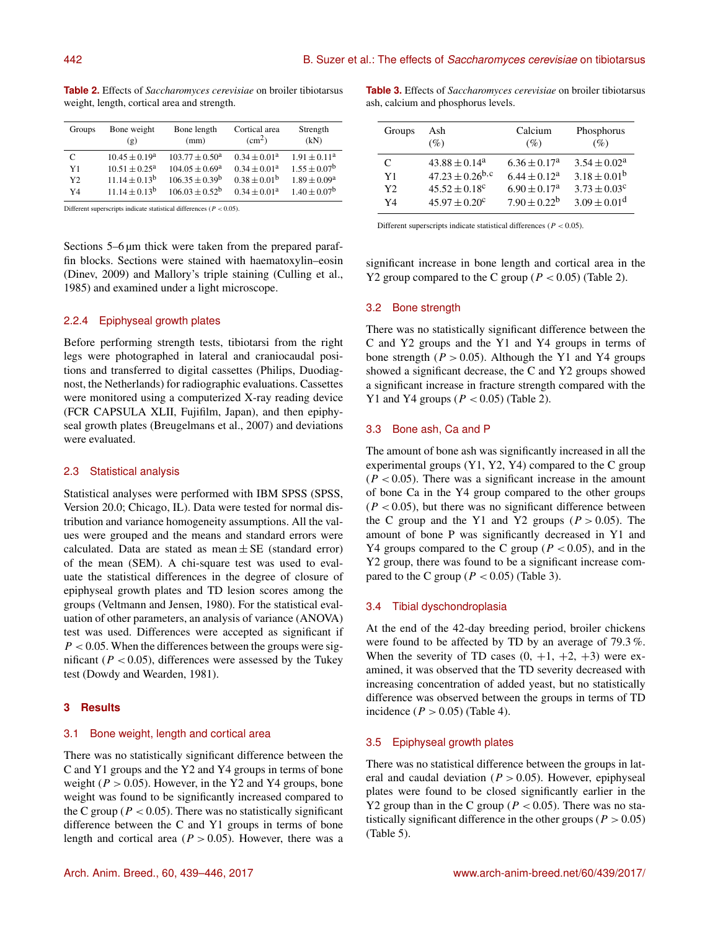| Groups         | Bone weight<br>(g)        | Bone length<br>(mm)     | Cortical area<br>(cm <sup>2</sup> ) | Strength<br>(kN)      |
|----------------|---------------------------|-------------------------|-------------------------------------|-----------------------|
| C              | $10.45 \pm 0.19^a$        | $103.77 + 0.50^{\circ}$ | $0.34 + 0.01a$                      | $1.91 + 0.11^a$       |
| Y1             | $10.51 + 0.25^{\text{a}}$ | $104.05 + 0.69^{\circ}$ | $0.34 + 0.01a$                      | $1.55 + 0.07^b$       |
| Y <sub>2</sub> | $11.14 + 0.13^b$          | $106.35 + 0.39^b$       | $0.38 + 0.01b$                      | $1.89 \pm 0.09^a$     |
| Y4             | $11.14 + 0.13b$           | $106.03 + 0.52^b$       | $0.34 + 0.01a$                      | $1.40 + 0.07^{\rm b}$ |

**Table 2.** Effects of *Saccharomyces cerevisiae* on broiler tibiotarsus weight, length, cortical area and strength.

Different superscripts indicate statistical differences (P < 0.05).

Sections 5–6  $\mu$ m thick were taken from the prepared paraffin blocks. Sections were stained with haematoxylin–eosin (Dinev, 2009) and Mallory's triple staining (Culling et al., 1985) and examined under a light microscope.

# 2.2.4 Epiphyseal growth plates

Before performing strength tests, tibiotarsi from the right legs were photographed in lateral and craniocaudal positions and transferred to digital cassettes (Philips, Duodiagnost, the Netherlands) for radiographic evaluations. Cassettes were monitored using a computerized X-ray reading device (FCR CAPSULA XLII, Fujifilm, Japan), and then epiphyseal growth plates (Breugelmans et al., 2007) and deviations were evaluated.

# 2.3 Statistical analysis

Statistical analyses were performed with IBM SPSS (SPSS, Version 20.0; Chicago, IL). Data were tested for normal distribution and variance homogeneity assumptions. All the values were grouped and the means and standard errors were calculated. Data are stated as mean  $\pm$  SE (standard error) of the mean (SEM). A chi-square test was used to evaluate the statistical differences in the degree of closure of epiphyseal growth plates and TD lesion scores among the groups (Veltmann and Jensen, 1980). For the statistical evaluation of other parameters, an analysis of variance (ANOVA) test was used. Differences were accepted as significant if  $P < 0.05$ . When the differences between the groups were significant ( $P < 0.05$ ), differences were assessed by the Tukey test (Dowdy and Wearden, 1981).

# **3 Results**

#### 3.1 Bone weight, length and cortical area

There was no statistically significant difference between the C and Y1 groups and the Y2 and Y4 groups in terms of bone weight ( $P > 0.05$ ). However, in the Y2 and Y4 groups, bone weight was found to be significantly increased compared to the C group ( $P < 0.05$ ). There was no statistically significant difference between the C and Y1 groups in terms of bone length and cortical area ( $P > 0.05$ ). However, there was a **Table 3.** Effects of *Saccharomyces cerevisiae* on broiler tibiotarsus ash, calcium and phosphorus levels.

| Groups | Ash<br>(%)                    | Calcium<br>(%)    | Phosphorus<br>$(\%)$    |
|--------|-------------------------------|-------------------|-------------------------|
| C      | $43.88 \pm 0.14^a$            | $6.36 \pm 0.17^a$ | $3.54 \pm 0.02^a$       |
| Y1     | $47.23 \pm 0.26^{b,c}$        | $6.44 \pm 0.12^a$ | $3.18 \pm 0.01^{\rm b}$ |
| Y2     | $45.52 \pm 0.18$ <sup>c</sup> | $6.90 \pm 0.17^a$ | $3.73 \pm 0.03^c$       |
| Y4     | $45.97 \pm 0.20^{\circ}$      | $7.90 \pm 0.22^b$ | $3.09 \pm 0.01^d$       |

Different superscripts indicate statistical differences ( $P < 0.05$ ).

significant increase in bone length and cortical area in the Y2 group compared to the C group ( $P < 0.05$ ) (Table 2).

### 3.2 Bone strength

There was no statistically significant difference between the C and Y2 groups and the Y1 and Y4 groups in terms of bone strength ( $P > 0.05$ ). Although the Y1 and Y4 groups showed a significant decrease, the C and Y2 groups showed a significant increase in fracture strength compared with the Y1 and Y4 groups ( $P < 0.05$ ) (Table 2).

#### 3.3 Bone ash, Ca and P

The amount of bone ash was significantly increased in all the experimental groups (Y1, Y2, Y4) compared to the C group  $(P < 0.05)$ . There was a significant increase in the amount of bone Ca in the Y4 group compared to the other groups  $(P < 0.05)$ , but there was no significant difference between the C group and the Y1 and Y2 groups  $(P > 0.05)$ . The amount of bone P was significantly decreased in Y1 and Y4 groups compared to the C group ( $P < 0.05$ ), and in the Y2 group, there was found to be a significant increase compared to the C group ( $P < 0.05$ ) (Table 3).

#### 3.4 Tibial dyschondroplasia

At the end of the 42-day breeding period, broiler chickens were found to be affected by TD by an average of 79.3 %. When the severity of TD cases  $(0, +1, +2, +3)$  were examined, it was observed that the TD severity decreased with increasing concentration of added yeast, but no statistically difference was observed between the groups in terms of TD incidence  $(P > 0.05)$  (Table 4).

## 3.5 Epiphyseal growth plates

There was no statistical difference between the groups in lateral and caudal deviation ( $P > 0.05$ ). However, epiphyseal plates were found to be closed significantly earlier in the Y2 group than in the C group ( $P < 0.05$ ). There was no statistically significant difference in the other groups ( $P > 0.05$ ) (Table 5).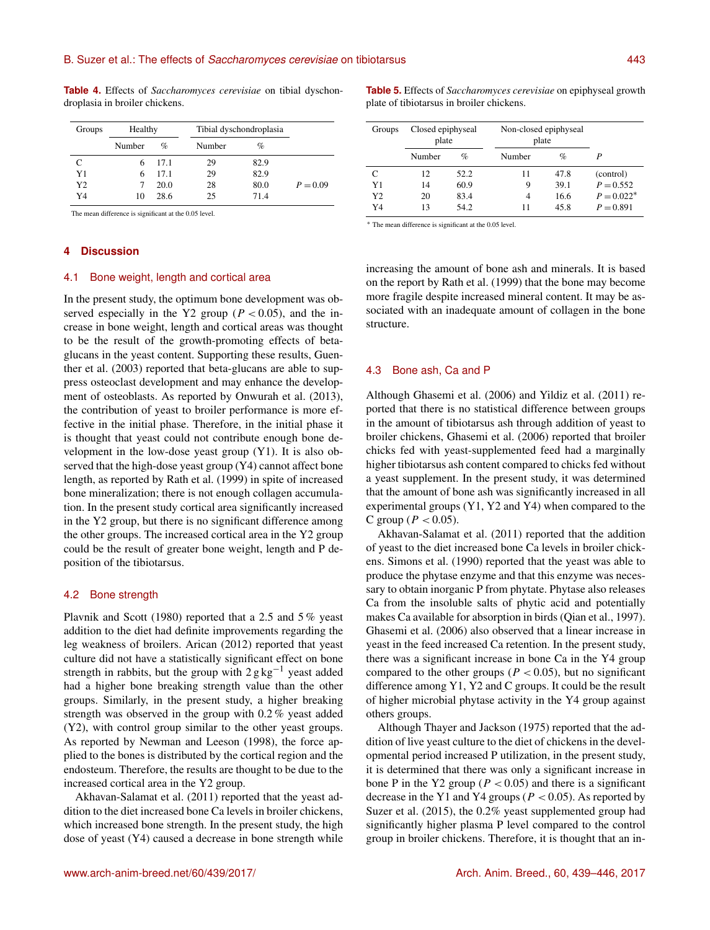**Table 4.** Effects of *Saccharomyces cerevisiae* on tibial dyschondroplasia in broiler chickens.

| Groups | Healthy |      | Tibial dyschondroplasia |      |            |
|--------|---------|------|-------------------------|------|------------|
|        | Number  | $\%$ | Number                  | $\%$ |            |
|        | 6       | 17.1 | 29                      | 82.9 |            |
| Y1     | 6       | 17.1 | 29                      | 82.9 |            |
| Y2     |         | 20.0 | 28                      | 80.0 | $P = 0.09$ |
| Y4     | 10      | 28.6 | 25                      | 71.4 |            |

The mean difference is significant at the 0.05 level.

## **4 Discussion**

# 4.1 Bone weight, length and cortical area

In the present study, the optimum bone development was observed especially in the Y2 group ( $P < 0.05$ ), and the increase in bone weight, length and cortical areas was thought to be the result of the growth-promoting effects of betaglucans in the yeast content. Supporting these results, Guenther et al. (2003) reported that beta-glucans are able to suppress osteoclast development and may enhance the development of osteoblasts. As reported by Onwurah et al. (2013), the contribution of yeast to broiler performance is more effective in the initial phase. Therefore, in the initial phase it is thought that yeast could not contribute enough bone development in the low-dose yeast group (Y1). It is also observed that the high-dose yeast group (Y4) cannot affect bone length, as reported by Rath et al. (1999) in spite of increased bone mineralization; there is not enough collagen accumulation. In the present study cortical area significantly increased in the Y2 group, but there is no significant difference among the other groups. The increased cortical area in the Y2 group could be the result of greater bone weight, length and P deposition of the tibiotarsus.

#### 4.2 Bone strength

Plavnik and Scott (1980) reported that a 2.5 and 5 % yeast addition to the diet had definite improvements regarding the leg weakness of broilers. Arican (2012) reported that yeast culture did not have a statistically significant effect on bone strength in rabbits, but the group with  $2 \text{ g kg}^{-1}$  yeast added had a higher bone breaking strength value than the other groups. Similarly, in the present study, a higher breaking strength was observed in the group with 0.2 % yeast added (Y2), with control group similar to the other yeast groups. As reported by Newman and Leeson (1998), the force applied to the bones is distributed by the cortical region and the endosteum. Therefore, the results are thought to be due to the increased cortical area in the Y2 group.

Akhavan-Salamat et al. (2011) reported that the yeast addition to the diet increased bone Ca levels in broiler chickens, which increased bone strength. In the present study, the high dose of yeast (Y4) caused a decrease in bone strength while **Table 5.** Effects of *Saccharomyces cerevisiae* on epiphyseal growth plate of tibiotarsus in broiler chickens.

| Groups |        | Closed epiphyseal<br>plate |        | Non-closed epiphyseal<br>plate |              |
|--------|--------|----------------------------|--------|--------------------------------|--------------|
|        | Number | $\%$                       | Number | $\%$                           | P            |
| C      | 12     | 52.2                       | 11     | 47.8                           | (control)    |
| Y1     | 14     | 60.9                       | 9      | 39.1                           | $P = 0.552$  |
| Y2     | 20     | 83.4                       | 4      | 16.6                           | $P = 0.022*$ |
| Y4     | 13     | 54.2                       | 11     | 45.8                           | $P = 0.891$  |

<sup>∗</sup> The mean difference is significant at the 0.05 level.

increasing the amount of bone ash and minerals. It is based on the report by Rath et al. (1999) that the bone may become more fragile despite increased mineral content. It may be associated with an inadequate amount of collagen in the bone structure.

#### 4.3 Bone ash, Ca and P

Although Ghasemi et al. (2006) and Yildiz et al. (2011) reported that there is no statistical difference between groups in the amount of tibiotarsus ash through addition of yeast to broiler chickens, Ghasemi et al. (2006) reported that broiler chicks fed with yeast-supplemented feed had a marginally higher tibiotarsus ash content compared to chicks fed without a yeast supplement. In the present study, it was determined that the amount of bone ash was significantly increased in all experimental groups (Y1, Y2 and Y4) when compared to the C group ( $P < 0.05$ ).

Akhavan-Salamat et al. (2011) reported that the addition of yeast to the diet increased bone Ca levels in broiler chickens. Simons et al. (1990) reported that the yeast was able to produce the phytase enzyme and that this enzyme was necessary to obtain inorganic P from phytate. Phytase also releases Ca from the insoluble salts of phytic acid and potentially makes Ca available for absorption in birds (Qian et al., 1997). Ghasemi et al. (2006) also observed that a linear increase in yeast in the feed increased Ca retention. In the present study, there was a significant increase in bone Ca in the Y4 group compared to the other groups ( $P < 0.05$ ), but no significant difference among Y1, Y2 and C groups. It could be the result of higher microbial phytase activity in the Y4 group against others groups.

Although Thayer and Jackson (1975) reported that the addition of live yeast culture to the diet of chickens in the developmental period increased P utilization, in the present study, it is determined that there was only a significant increase in bone P in the Y2 group ( $P < 0.05$ ) and there is a significant decrease in the Y1 and Y4 groups ( $P < 0.05$ ). As reported by Suzer et al. (2015), the 0.2% yeast supplemented group had significantly higher plasma P level compared to the control group in broiler chickens. Therefore, it is thought that an in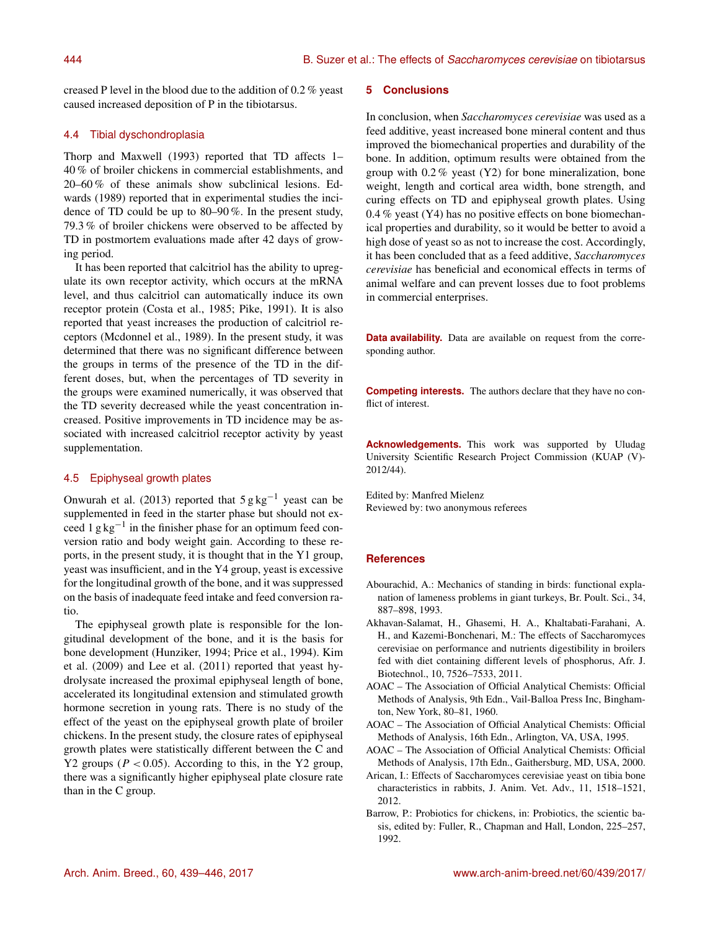creased P level in the blood due to the addition of 0.2 % yeast caused increased deposition of P in the tibiotarsus.

# 4.4 Tibial dyschondroplasia

Thorp and Maxwell (1993) reported that TD affects 1– 40 % of broiler chickens in commercial establishments, and 20–60 % of these animals show subclinical lesions. Edwards (1989) reported that in experimental studies the incidence of TD could be up to 80–90 %. In the present study, 79.3 % of broiler chickens were observed to be affected by TD in postmortem evaluations made after 42 days of growing period.

It has been reported that calcitriol has the ability to upregulate its own receptor activity, which occurs at the mRNA level, and thus calcitriol can automatically induce its own receptor protein (Costa et al., 1985; Pike, 1991). It is also reported that yeast increases the production of calcitriol receptors (Mcdonnel et al., 1989). In the present study, it was determined that there was no significant difference between the groups in terms of the presence of the TD in the different doses, but, when the percentages of TD severity in the groups were examined numerically, it was observed that the TD severity decreased while the yeast concentration increased. Positive improvements in TD incidence may be associated with increased calcitriol receptor activity by yeast supplementation.

# 4.5 Epiphyseal growth plates

Onwurah et al. (2013) reported that  $5 \text{ g kg}^{-1}$  yeast can be supplemented in feed in the starter phase but should not exceed 1 g kg−<sup>1</sup> in the finisher phase for an optimum feed conversion ratio and body weight gain. According to these reports, in the present study, it is thought that in the Y1 group, yeast was insufficient, and in the Y4 group, yeast is excessive for the longitudinal growth of the bone, and it was suppressed on the basis of inadequate feed intake and feed conversion ratio.

The epiphyseal growth plate is responsible for the longitudinal development of the bone, and it is the basis for bone development (Hunziker, 1994; Price et al., 1994). Kim et al. (2009) and Lee et al. (2011) reported that yeast hydrolysate increased the proximal epiphyseal length of bone, accelerated its longitudinal extension and stimulated growth hormone secretion in young rats. There is no study of the effect of the yeast on the epiphyseal growth plate of broiler chickens. In the present study, the closure rates of epiphyseal growth plates were statistically different between the C and Y2 groups ( $P < 0.05$ ). According to this, in the Y2 group, there was a significantly higher epiphyseal plate closure rate than in the C group.

# **5 Conclusions**

In conclusion, when *Saccharomyces cerevisiae* was used as a feed additive, yeast increased bone mineral content and thus improved the biomechanical properties and durability of the bone. In addition, optimum results were obtained from the group with 0.2 % yeast (Y2) for bone mineralization, bone weight, length and cortical area width, bone strength, and curing effects on TD and epiphyseal growth plates. Using 0.4 % yeast (Y4) has no positive effects on bone biomechanical properties and durability, so it would be better to avoid a high dose of yeast so as not to increase the cost. Accordingly, it has been concluded that as a feed additive, *Saccharomyces cerevisiae* has beneficial and economical effects in terms of animal welfare and can prevent losses due to foot problems in commercial enterprises.

**Data availability.** Data are available on request from the corresponding author.

**Competing interests.** The authors declare that they have no conflict of interest.

**Acknowledgements.** This work was supported by Uludag University Scientific Research Project Commission (KUAP (V)- 2012/44).

Edited by: Manfred Mielenz Reviewed by: two anonymous referees

# **References**

- Abourachid, A.: Mechanics of standing in birds: functional explanation of lameness problems in giant turkeys, Br. Poult. Sci., 34, 887–898, 1993.
- Akhavan-Salamat, H., Ghasemi, H. A., Khaltabati-Farahani, A. H., and Kazemi-Bonchenari, M.: The effects of Saccharomyces cerevisiae on performance and nutrients digestibility in broilers fed with diet containing different levels of phosphorus, Afr. J. Biotechnol., 10, 7526–7533, 2011.
- AOAC The Association of Official Analytical Chemists: Official Methods of Analysis, 9th Edn., Vail-Balloa Press Inc, Binghamton, New York, 80–81, 1960.
- AOAC The Association of Official Analytical Chemists: Official Methods of Analysis, 16th Edn., Arlington, VA, USA, 1995.

AOAC – The Association of Official Analytical Chemists: Official Methods of Analysis, 17th Edn., Gaithersburg, MD, USA, 2000.

Arican, I.: Effects of Saccharomyces cerevisiae yeast on tibia bone characteristics in rabbits, J. Anim. Vet. Adv., 11, 1518–1521, 2012.

Barrow, P.: Probiotics for chickens, in: Probiotics, the scientic basis, edited by: Fuller, R., Chapman and Hall, London, 225–257, 1992.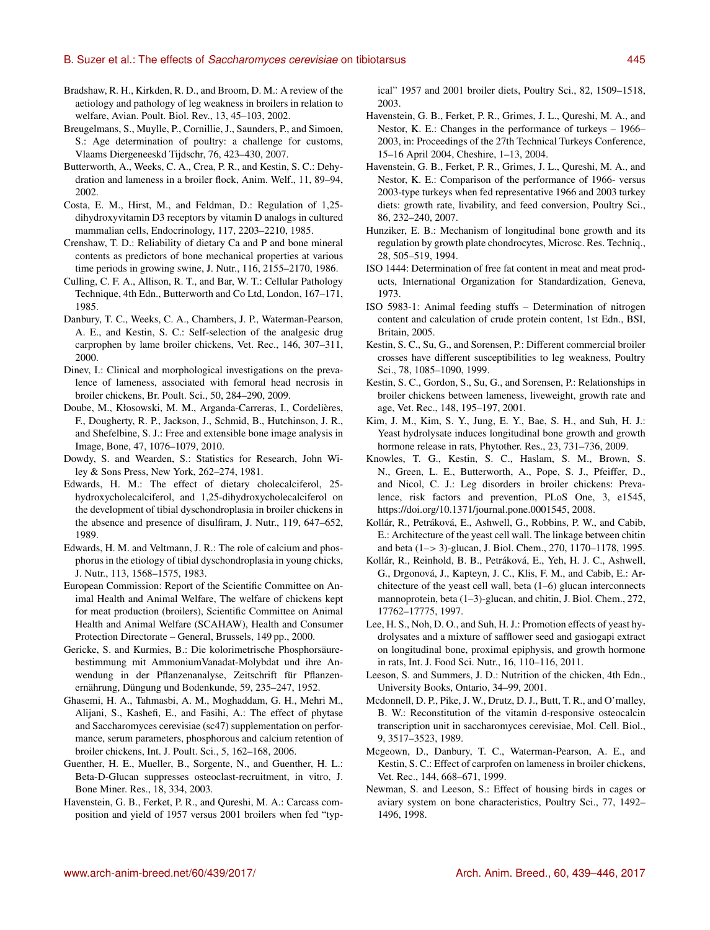- Bradshaw, R. H., Kirkden, R. D., and Broom, D. M.: A review of the aetiology and pathology of leg weakness in broilers in relation to welfare, Avian. Poult. Biol. Rev., 13, 45–103, 2002.
- Breugelmans, S., Muylle, P., Cornillie, J., Saunders, P., and Simoen, S.: Age determination of poultry: a challenge for customs, Vlaams Diergeneeskd Tijdschr, 76, 423–430, 2007.
- Butterworth, A., Weeks, C. A., Crea, P. R., and Kestin, S. C.: Dehydration and lameness in a broiler flock, Anim. Welf., 11, 89–94, 2002.
- Costa, E. M., Hirst, M., and Feldman, D.: Regulation of 1,25 dihydroxyvitamin D3 receptors by vitamin D analogs in cultured mammalian cells, Endocrinology, 117, 2203–2210, 1985.
- Crenshaw, T. D.: Reliability of dietary Ca and P and bone mineral contents as predictors of bone mechanical properties at various time periods in growing swine, J. Nutr., 116, 2155–2170, 1986.
- Culling, C. F. A., Allison, R. T., and Bar, W. T.: Cellular Pathology Technique, 4th Edn., Butterworth and Co Ltd, London, 167–171, 1985.
- Danbury, T. C., Weeks, C. A., Chambers, J. P., Waterman-Pearson, A. E., and Kestin, S. C.: Self-selection of the analgesic drug carprophen by lame broiler chickens, Vet. Rec., 146, 307–311, 2000.
- Dinev, I.: Clinical and morphological investigations on the prevalence of lameness, associated with femoral head necrosis in broiler chickens, Br. Poult. Sci., 50, 284–290, 2009.
- Doube, M., Kłosowski, M. M., Arganda-Carreras, I., Cordelières, F., Dougherty, R. P., Jackson, J., Schmid, B., Hutchinson, J. R., and Shefelbine, S. J.: Free and extensible bone image analysis in Image, Bone, 47, 1076–1079, 2010.
- Dowdy, S. and Wearden, S.: Statistics for Research, John Wiley & Sons Press, New York, 262–274, 1981.
- Edwards, H. M.: The effect of dietary cholecalciferol, 25 hydroxycholecalciferol, and 1,25-dihydroxycholecalciferol on the development of tibial dyschondroplasia in broiler chickens in the absence and presence of disulfiram, J. Nutr., 119, 647–652, 1989.
- Edwards, H. M. and Veltmann, J. R.: The role of calcium and phosphorus in the etiology of tibial dyschondroplasia in young chicks, J. Nutr., 113, 1568–1575, 1983.
- European Commission: Report of the Scientific Committee on Animal Health and Animal Welfare, The welfare of chickens kept for meat production (broilers), Scientific Committee on Animal Health and Animal Welfare (SCAHAW), Health and Consumer Protection Directorate – General, Brussels, 149 pp., 2000.
- Gericke, S. and Kurmies, B.: Die kolorimetrische Phosphorsäurebestimmung mit AmmoniumVanadat-Molybdat und ihre Anwendung in der Pflanzenanalyse, Zeitschrift für Pflanzenernährung, Düngung und Bodenkunde, 59, 235–247, 1952.
- Ghasemi, H. A., Tahmasbi, A. M., Moghaddam, G. H., Mehri M., Alijani, S., Kashefi, E., and Fasihi, A.: The effect of phytase and Saccharomyces cerevisiae (sc47) supplementation on performance, serum parameters, phosphorous and calcium retention of broiler chickens, Int. J. Poult. Sci., 5, 162–168, 2006.
- Guenther, H. E., Mueller, B., Sorgente, N., and Guenther, H. L.: Beta-D-Glucan suppresses osteoclast-recruitment, in vitro, J. Bone Miner. Res., 18, 334, 2003.
- Havenstein, G. B., Ferket, P. R., and Qureshi, M. A.: Carcass composition and yield of 1957 versus 2001 broilers when fed "typ-

ical" 1957 and 2001 broiler diets, Poultry Sci., 82, 1509–1518, 2003.

- Havenstein, G. B., Ferket, P. R., Grimes, J. L., Qureshi, M. A., and Nestor, K. E.: Changes in the performance of turkeys – 1966– 2003, in: Proceedings of the 27th Technical Turkeys Conference, 15–16 April 2004, Cheshire, 1–13, 2004.
- Havenstein, G. B., Ferket, P. R., Grimes, J. L., Qureshi, M. A., and Nestor, K. E.: Comparison of the performance of 1966- versus 2003-type turkeys when fed representative 1966 and 2003 turkey diets: growth rate, livability, and feed conversion, Poultry Sci., 86, 232–240, 2007.
- Hunziker, E. B.: Mechanism of longitudinal bone growth and its regulation by growth plate chondrocytes, Microsc. Res. Techniq., 28, 505–519, 1994.
- ISO 1444: Determination of free fat content in meat and meat products, International Organization for Standardization, Geneva, 1973.
- ISO 5983-1: Animal feeding stuffs Determination of nitrogen content and calculation of crude protein content, 1st Edn., BSI, Britain, 2005.
- Kestin, S. C., Su, G., and Sorensen, P.: Different commercial broiler crosses have different susceptibilities to leg weakness, Poultry Sci., 78, 1085–1090, 1999.
- Kestin, S. C., Gordon, S., Su, G., and Sorensen, P.: Relationships in broiler chickens between lameness, liveweight, growth rate and age, Vet. Rec., 148, 195–197, 2001.
- Kim, J. M., Kim, S. Y., Jung, E. Y., Bae, S. H., and Suh, H. J.: Yeast hydrolysate induces longitudinal bone growth and growth hormone release in rats, Phytother. Res., 23, 731–736, 2009.
- Knowles, T. G., Kestin, S. C., Haslam, S. M., Brown, S. N., Green, L. E., Butterworth, A., Pope, S. J., Pfeiffer, D., and Nicol, C. J.: Leg disorders in broiler chickens: Prevalence, risk factors and prevention, PLoS One, 3, e1545, https://doi.org[/10.1371/journal.pone.0001545,](https://doi.org/10.1371/journal.pone.0001545) 2008.
- Kollár, R., Petráková, E., Ashwell, G., Robbins, P. W., and Cabib, E.: Architecture of the yeast cell wall. The linkage between chitin and beta (1–> 3)-glucan, J. Biol. Chem., 270, 1170–1178, 1995.
- Kollár, R., Reinhold, B. B., Petráková, E., Yeh, H. J. C., Ashwell, G., Drgonová, J., Kapteyn, J. C., Klis, F. M., and Cabib, E.: Architecture of the yeast cell wall, beta (1–6) glucan interconnects mannoprotein, beta (1–3)-glucan, and chitin, J. Biol. Chem., 272, 17762–17775, 1997.
- Lee, H. S., Noh, D. O., and Suh, H. J.: Promotion effects of yeast hydrolysates and a mixture of safflower seed and gasiogapi extract on longitudinal bone, proximal epiphysis, and growth hormone in rats, Int. J. Food Sci. Nutr., 16, 110–116, 2011.
- Leeson, S. and Summers, J. D.: Nutrition of the chicken, 4th Edn., University Books, Ontario, 34–99, 2001.
- Mcdonnell, D. P., Pike, J. W., Drutz, D. J., Butt, T. R., and O'malley, B. W.: Reconstitution of the vitamin d-responsive osteocalcin transcription unit in saccharomyces cerevisiae, Mol. Cell. Biol., 9, 3517–3523, 1989.
- Mcgeown, D., Danbury, T. C., Waterman-Pearson, A. E., and Kestin, S. C.: Effect of carprofen on lameness in broiler chickens, Vet. Rec., 144, 668–671, 1999.
- Newman, S. and Leeson, S.: Effect of housing birds in cages or aviary system on bone characteristics, Poultry Sci., 77, 1492– 1496, 1998.